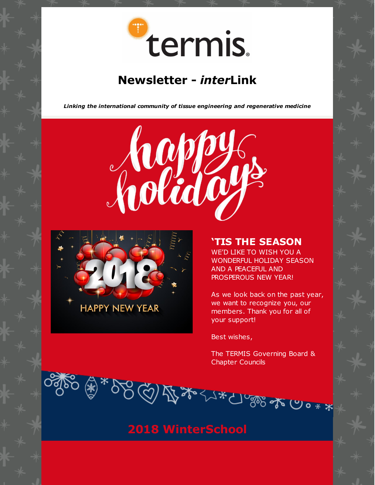

# **[Newsletter](https://www.termis.org/publications.php) -** *[inter](https://www.termis.org/publications.php)***[Link](https://www.termis.org/publications.php)**

*Linking the international community of tissue engineering and regenerative medicine*





### **'TIS THE SEASON**

WE'D LIKE TO WISH YOU A WONDERFUL HOLIDAY SEASON AND A PEACEFUL AND PROSPEROUS NEW YEAR!

As we look back on the past year, we want to recognize you, our members. Thank you for all of your support!

Best wishes,

The TERMIS Governing Board & Chapter Councils

)్యూ <del>్మ</del>

 $0 * x$ 

**2018 WinterSchool**

 $352720$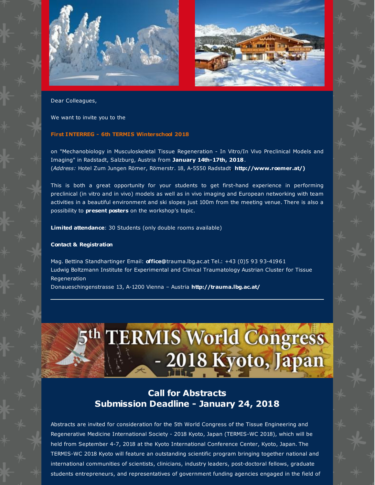



Dear Colleagues,

We want to invite you to the

#### **First INTERREG - 6th TERMIS Winterschool 2018**

on "Mechanobiology in Musculoskeletal Tissue Regeneration - In Vitro/In Vivo Preclinical Models and Imaging" in Radstadt, Salzburg, Austria from **January 14th-17th, 2018**. (*Address:* Hotel Zum Jungen Römer, Römerstr. 18, A-5550 Radstadt**[,](http://www.roemer.at/)) [http://www.roemer.at/\)](http://www.roemer.at/))**

This is both a great opportunity for your students to get first-hand experience in performing preclinical (in vitro and in vivo) models as well as in vivo imaging and European networking with team activities in a beautiful environment and ski slopes just 100m from the meeting venue. There is also a possibility to **present posters** on the workshop's topic.

**Limited attendance**: 30 Students (only double rooms available)

#### **Contact & Registration**

Mag. Bettina Standhartinger Email: **[office@](mailto:office@lbitrauma.org)**trauma.lbg.ac.at Tel.: +43 (0)5 93 93-41961 Ludwig Boltzmann Institute for Experimental and Clinical Traumatology Austrian Cluster for Tissue Regeneration

Donaueschingenstrasse 13, A-1200 Vienna – Austria **<http://trauma.lbg.ac.at/>**

# 5th TERMIS World Congress - 2018 Kyoto, Japan

### **Call for Abstracts Submission Deadline - January 24, 2018**

Abstracts are invited for consideration for the 5th World Congress of the Tissue Engineering and Regenerative Medicine International Society - 2018 Kyoto, Japan (TERMIS-WC 2018), which will be held from September 4-7, 2018 at the Kyoto International Conference Center, Kyoto, Japan. The TERMIS-WC 2018 Kyoto will feature an outstanding scientific program bringing together national and international communities of scientists, clinicians, industry leaders, post-doctoral fellows, graduate students entrepreneurs, and representatives of government funding agencies engaged in the field of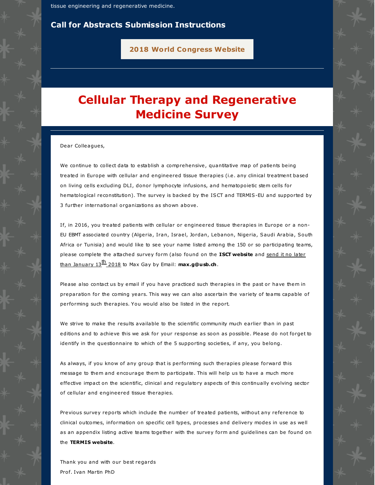tissue engineering and regenerative medicine.

#### **Call for Abstracts [Submission](https://termis.org/wc2018/abstract.php) [Ins](https://termis.org/wc2018/abstract.php)tructions**

**2018 World [Congress](https://www.termis.org/wc2018) Website**

# **Cellular Therapy and Regenerative Medicine Survey**

Dear Colleagues,

We continue to collect data to establish a comprehensive, quantitative map of patients being treated in Europe with cellular and engineered tissue therapies (i.e. any clinical treatment based on living cells excluding DLI, donor lymphocyte infusions, and hematopoietic stem cells for hematological reconstitution). The survey is backed by the ISCT and TERMIS-EU and supported by 3 further international organizations as shown above.

If, in 2016, you treated patients with cellular or engineered tissue therapies in Europe or a non-EU EBMT associated country (Algeria, Iran, Israel, Jordan, Lebanon, Nigeria, Saudi Arabia, South Africa or Tunisia) and would like to see your name listed among the 150 or so participating teams, please complete the attached survey form (also found on the **ISCT [website](https://isctmalachite-mgmt.site-ym.com/news/375639/Survey-of-cellular-therapy-and-regenerative-medicine-in-Europe---Patients-Treated-in-2016.htm)** and send it no later than January 13 th <sup>2018</sup> to Max Gay by Email: **[max.g@usb.ch](mailto:max.g@usb.ch)**.

Please also contact us by email if you have practiced such therapies in the past or have them in preparation for the coming years. This way we can also ascertain the variety of teams capable of performing such therapies. You would also be listed in the report.

We strive to make the results available to the scientific community much earlier than in past editions and to achieve this we ask for your response as soon as possible. Please do not forget to identify in the questionnaire to which of the 5 supporting societies, if any, you belong.

As always, if you know of any group that is performing such therapies please forward this message to them and encourage them to participate. This will help us to have a much more effective impact on the scientific, clinical and regulatory aspects of this continually evolving sector of cellular and engineered tissue therapies.

Previous survey reports which include the number of treated patients, without any reference to clinical outcomes, information on specific cell types, processes and delivery modes in use as well as an appendix listing active teams together with the survey form and guidelines can be found on the **[TERMIS](https://www.termis.org/chapters_eu_novel.php) website**.

Thank you and with our best regards Prof. Ivan Martin PhD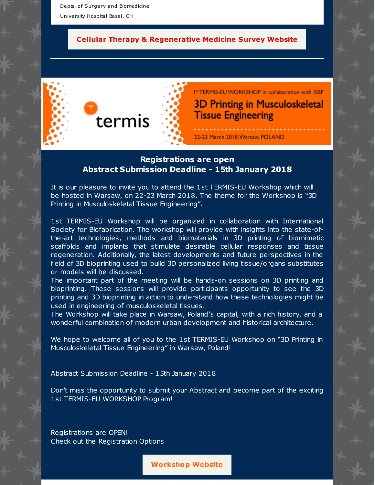Depts. of Surgery and Biomedicine University Hospital Basel, CH

#### **Cellular Therapy & [Regenerative](https://www.termis.org/chapters_eu_novel.php) Medicine Survey Website**



I<sup>st</sup> TERMIS-EU WORKSHOP in collaboration with ISBF **3D Printing in Musculoskeletal Tissue Engineering** 

### 22-23 March 2018, Warsaw, POLAND

### **Registrations are open Abstract Submission Deadline - 15th January 2018**

It is our pleasure to invite you to attend the 1st TERMIS-EU Workshop which will be hosted in Warsaw, on 22-23 March 2018. The theme for the Workshop is "3D Printing in Musculoskeletal Tissue Engineering".

1st TERMIS-EU Workshop will be organized in collaboration with International Society for Biofabrication. The workshop will provide with insights into the state-ofthe-art technologies, methods and biomaterials in 3D printing of biomimetic scaffolds and implants that stimulate desirable cellular responses and tissue regeneration. Additionally, the latest developments and future perspectives in the field of 3D bioprinting used to build 3D personalized living tissue/organs substitutes or models will be discussed.

The important part of the meeting will be hands-on sessions on 3D printing and bioprinting. These sessions will provide participants opportunity to see the 3D printing and 3D bioprinting in action to understand how these technologies might be used in engineering of musculoskeletal tissues.

The Workshop will take place in Warsaw, Poland's capital, with a rich history, and a wonderful combination of modern urban development and historical architecture.

We hope to welcome all of you to the 1st TERMIS-EU Workshop on "3D Printing in Musculoskeletal Tissue Engineering" in Warsaw, Poland!

Abstract Submission Deadline - 15th January 2018

Don't miss the opportunity to submit your Abstract and become part of the exciting 1st TERMIS-EU WORKSHOP Program!

Registrations are OPEN! Check out the Registration Options

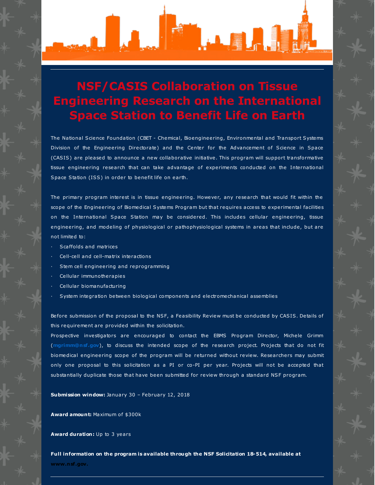

# **NSF/CASIS Collaboration on Tissue Engineering Research on the International Space Station to Benefit Life on Earth**

The National Science Foundation (CBET - Chemical, Bioengineering, Environmental and Transport Systems Division of the Engineering Directorate) and the Center for the Advancement of Science in Space (CASIS) are pleased to announce a new collaborative initiative. This program will support transformative tissue engineering research that can take advantage of experiments conducted on the International Space Station (ISS) in order to benefit life on earth.

The primary program interest is in tissue engineering. However, any research that would fit within the scope of the Engineering of Biomedical Systems Program but that requires access to experimental facilities on the International Space Station may be considered. This includes cellular engineering, tissue engineering, and modeling of physiological or pathophysiological systems in areas that include, but are not limited to:

- Scaffolds and matrices
- · Cell-cell and cell-matrix interactions
- Stem cell engineering and reprogramming
- Cellular immunotherapies
- Cellular biomanufacturing
- · System integration between biological components and electromechanical assemblies

Before submission of the proposal to the NSF, a Feasibility Review must be conducted by CASIS. Details of this requirement are provided within the solicitation.

Prospective investigators are encouraged to contact the EBMS Program Director, Michele Grimm (**[mgrimm@nsf.gov](mailto:mgrimm@nsf.gov)**), to discuss the intended scope of the research project. Projects that do not fit biomedical engineering scope of the program will be returned without review. Researchers may submit only one proposal to this solicitation as a PI or co-PI per year. Projects will not be accepted that substantially duplicate those that have been submitted for review through a standard NSF program.

**Submission window:** January 30 – February 12, 2018

**Award amount:** Maximum of \$300k

**Award duration:** Up to 3 years

**Full information on the program is available through the NSF Solicitation 18-514, available at [www.nsf.gov.](http://www.nsf.gov/)**